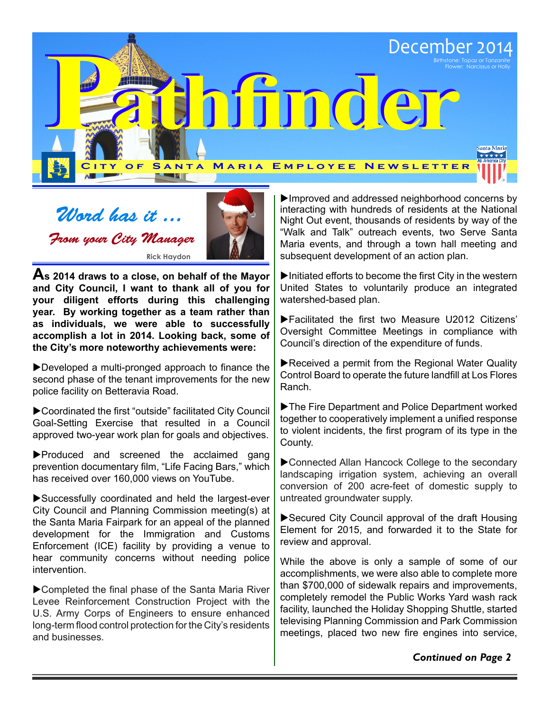

Word has it ... From your City Manager **Rick Haydon**



**As 2014 draws to a close, on behalf of the Mayor and City Council, I want to thank all of you for your diligent efforts during this challenging year. By working together as a team rather than as individuals, we were able to successfully accomplish a lot in 2014. Looking back, some of the City's more noteworthy achievements were:**

 $\blacktriangleright$  Developed a multi-pronged approach to finance the second phase of the tenant improvements for the new police facility on Betteravia Road.

▶ Coordinated the first "outside" facilitated City Council Goal-Setting Exercise that resulted in a Council approved two-year work plan for goals and objectives.

 $\blacktriangleright$  Produced and screened the acclaimed gang prevention documentary film, "Life Facing Bars," which has received over 160,000 views on YouTube.

 $\blacktriangleright$  Successfully coordinated and held the largest-ever City Council and Planning Commission meeting(s) at the Santa Maria Fairpark for an appeal of the planned development for the Immigration and Customs Enforcement (ICE) facility by providing a venue to hear community concerns without needing police intervention.

 $\blacktriangleright$  Completed the final phase of the Santa Maria River Levee Reinforcement Construction Project with the U.S. Army Corps of Engineers to ensure enhanced long-term flood control protection for the City's residents and businesses.

 $\blacktriangleright$  Improved and addressed neighborhood concerns by interacting with hundreds of residents at the National Night Out event, thousands of residents by way of the "Walk and Talk" outreach events, two Serve Santa Maria events, and through a town hall meeting and subsequent development of an action plan.

 $\blacktriangleright$  Initiated efforts to become the first City in the western United States to voluntarily produce an integrated watershed-based plan.

 $\blacktriangleright$  Facilitated the first two Measure U2012 Citizens' Oversight Committee Meetings in compliance with Council's direction of the expenditure of funds.

 $\blacktriangleright$  Received a permit from the Regional Water Quality Control Board to operate the future landfill at Los Flores Ranch.

 $\blacktriangleright$  The Fire Department and Police Department worked together to cooperatively implement a unified response to violent incidents, the first program of its type in the County.

 $\blacktriangleright$  Connected Allan Hancock College to the secondary landscaping irrigation system, achieving an overall conversion of 200 acre-feet of domestic supply to untreated groundwater supply.

 $\blacktriangleright$  Secured City Council approval of the draft Housing Element for 2015, and forwarded it to the State for review and approval.

While the above is only a sample of some of our accomplishments, we were also able to complete more than \$700,000 of sidewalk repairs and improvements, completely remodel the Public Works Yard wash rack facility, launched the Holiday Shopping Shuttle, started televising Planning Commission and Park Commission meetings, placed two new fire engines into service,

*Continued on Page 2*